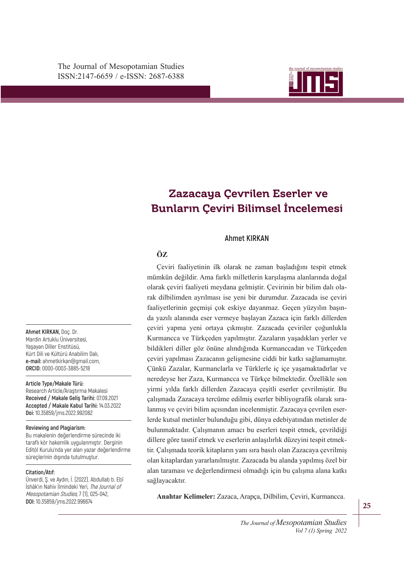

# ISSN: 2147-6659 e-ISSN: 2687-6388 **Bunların Çeviri Bilimsel İncelemesi Zazacaya Çevrilen Eserler ve**

## **Ahmet KIRKAN**

# **ÖZ**

da yazılı alanında eser vermeye başlayan Zazaca için farklı dillerden çeviri yapma yeni ortaya çıkmıştır. Zazacada çeviriler çoğunlukla **TÜRYİYE'DE YAŞAYA KURTAK DILIYINDI**<br>Kurmancca ve Türkçeden yapılmıştır. Zazaların yaşadıkları yerler ve Çeviri faaliyetinin ilk olarak ne zaman başladığını tespit etmek mümkün değildir. Ama farklı milletlerin karşılaşma alanlarında doğal olarak çeviri faaliyeti meydana gelmiştir. Çevirinin bir bilim dalı olarak dilbilimden ayrılması ise yeni bir durumdur. Zazacada ise çeviri faaliyetlerinin geçmişi çok eskiye dayanmaz. Geçen yüzyılın başınbildikleri diller göz önüne alındığında Kurmanccadan ve Türkçeden çeviri yapılması Zazacanın gelişmesine ciddi bir katkı sağlamamıştır. Çünkü Zazalar, Kurmanclarla ve Türklerle iç içe yaşamaktadırlar ve neredeyse her Zaza, Kurmancca ve Türkçe bilmektedir. Özellikle son yirmi yılda farklı dillerden Zazacaya çeşitli eserler çevrilmiştir. Bu çalışmada Zazacaya tercüme edilmiş eserler bibliyografik olarak sıralanmış ve çeviri bilim açısından incelenmiştir. Zazacaya çevrilen eserlerde kutsal metinler bulunduğu gibi, dünya edebiyatından metinler de bulunmaktadır. Çalışmanın amacı bu eserleri tespit etmek, çevrildiği dillere göre tasnif etmek ve eserlerin anlaşılırlık düzeyini tespit etmektir. Çalışmada teorik kitapların yanı sıra basılı olan Zazacaya çevrilmiş olan kitaplardan yararlanılmıştır. Zazacada bu alanda yapılmış özel bir alan taraması ve değerlendirmesi olmadığı için bu çalışma alana katkı sağlayacaktır.

**Anahtar Kelimeler:** Zazaca, Arapça, Dilbilim, Çeviri, Kurmancca.

**Ahmet KIRKAN,** Doç. Dr. Mardin Artuklu Üniversitesi, Yaşayan Diller Enstitüsü, Kürt Dili ve Kültürü Anabilim Dalı, **e-mail:** ahmetkirkan@gmail.com, **ORCID:** 0000-0003-3885-5218

#### **Article Type/Makale Türü:**

Research Article/Araştırma Makalesi **Received / Makale Geliş Tarihi:** 07.09.2021 **Accepted / Makale Kabul Tarihi:** 14.03.2022 **Doi:** 10.35859/jms.2022.992082

#### **Reviewing and Plagiarism:**

Bu makalenin değerlendirme sürecinde iki taraflı kör hakemlik uygulanmıştır. Derginin Editöl Kurulu'nda yer alan yazar değerlendirme süreçlerinin dışında tutulmuştur.

#### **Citation/Atıf:**

Ünverdi, Ş. ve Aydın, İ. (2022). Abdullab b. Ebî İshâk'ın Nahiv İlmindeki Yeri, The Journal of Mesopotamian Studies, 7 (1), 025-042, **DOI:** 10.35859/jms.2022.996674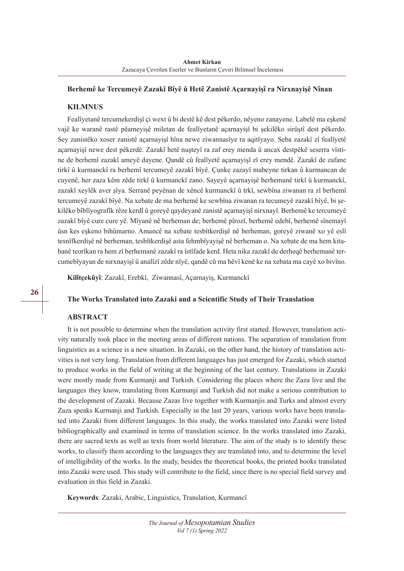## **Berhemê ke Tercumeyê Zazakî Bîyê û Hetê Zanistê Açarnayişî ra Nirxnayişê Nînan**

## **KILMNUS**

Fealîyetanê tercumekerdişî çi wext û bi destê kê dest pêkerdo, nêyeno zanayene. Labelê ma eşkenê vajê ke waranê rastê pêameyişê miletan de fealîyetanê açarnayişî bi şekilêko sirûştî dest pêkerdo. Sey zanistêko xoser zanistê açarnayişî hîna newe ziwannasîye ra aqitîyayo. Seba zazakî zî fealîyetê açarnayişî newe dest pêkerdê. Zazakî hetê nuşteyî ra zaf erey menda û ancax destpêkê seserra vîstine de berhemî zazakî ameyê dayene. Qandê cû fealîyetê açarnayişî zî erey mendê. Zazakî de zafane tirkî û kurmanckî ra berhemî tercumeyê zazakî bîyê. Çunke zazayî mabeyne tirkan û kurmancan de cuyenê, her zaza kêm zêde tirkî û kurmanckî zano. Sayeyê açarnayişê berhemanê tirkî û kurmanckî, zazakî xeylêk aver şîya. Serranê peyênan de xêncê kurmanckî û trkî, sewbîna ziwanan ra zî berhemî tercumeyê zazakî bîyê. Na xebate de ma berhemê ke sewbîna ziwanan ra tecumeyê zazakî bîyê, bi şekilêko bîblîyografîk rêze kerdî û goreyê qaydeyanê zanistê açarnayişî nirxnayî. Berhemê ke tercumeyê zazakî bîyê cure cure yê. Mîyanê nê berheman de; berhemê pîrozî, berhemê edebî, berhemê sînemayî ûsn kes eşkeno bihûmarno. Amancê na xebate tesbîtkerdişê nê berheman, goreyê ziwanê xo yê eslî tesnîfkerdişê nê berheman, tesbîtkerdişê asta fehmbîyayişê nê berheman o. Na xebate de ma hem kitabanê teorîkan ra hem zî berhemanê zazakî ra îstîfade kerd. Heta nika zazakî de derheqê berhemanê tercumebîyayan de nirxnayişî û analîzî zêde nîyê, qandê cû ma hêvî kenê ke na xebata ma cayê xo bivîno.

**Kilîtçekûyî**: Zazakî, Erebkî, Ziwannasî, Açarnayiş, Kurmanckî

## **The Works Translated into Zazaki and a Scientific Study of Their Translation**

### **ABSTRACT**

It is not possible to determine when the translation activity first started. However, translation activity naturally took place in the meeting areas of different nations. The separation of translation from linguistics as a science is a new situation. In Zazaki, on the other hand, the history of translation activities is not very long. Translation from different languages has just emerged for Zazaki, which started to produce works in the field of writing at the beginning of the last century. Translations in Zazaki were mostly made from Kurmanji and Turkish. Considering the places where the Zaza live and the languages they know, translating from Kurmanji and Turkish did not make a serious contribution to the development of Zazaki. Because Zazas live together with Kurmanjis and Turks and almost every Zaza speaks Kurmanji and Turkish. Especially in the last 20 years, various works have been translated into Zazaki from different languages. In this study, the works translated into Zazaki were listed bibliographically and examined in terms of translation science. In the works translated into Zazaki, there are sacred texts as well as texts from world literature. The aim of the study is to identify these works, to classify them according to the languages they are translated into, and to determine the level of intelligibility of the works. In the study, besides the theoretical books, the printed books translated into Zazaki were used. This study will contribute to the field, since there is no special field survey and evaluation in this field in Zazaki.

**Keywords**: Zazaki, Arabic, Linguistics, Translation, Kurmancî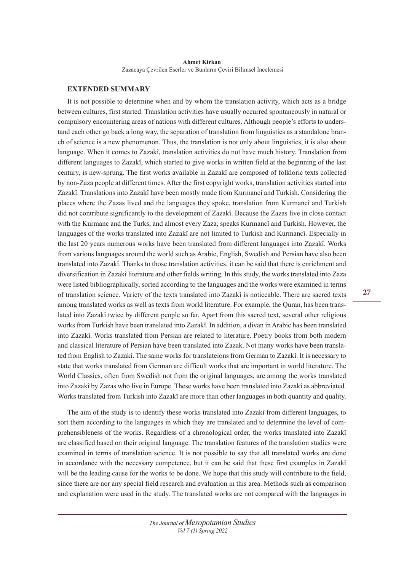## **EXTENDED SUMMARY**

It is not possible to determine when and by whom the translation activity, which acts as a bridge between cultures, first started. Translation activities have usually occurred spontaneously in natural or compulsory encountering areas of nations with different cultures. Although people's efforts to understand each other go back a long way, the separation of translation from linguistics as a standalone branch of science is a new phenomenon. Thus, the translation is not only about linguistics, it is also about language. When it comes to Zazakî, translation activities do not have much history. Translation from different languages to Zazakî, which started to give works in written field at the beginning of the last century, is new-sprung. The first works available in Zazakî are composed of folkloric texts collected by non-Zaza people at different times. After the first copyright works, translation activities started into Zazakî. Translations into Zazakî have been mostly made from Kurmancî and Turkish. Considering the places where the Zazas lived and the languages they spoke, translation from Kurmancî and Turkish did not contribute significantly to the development of Zazakî. Because the Zazas live in close contact with the Kurmanc and the Turks, and almost every Zaza, speaks Kurmancî and Turkish. However, the languages of the works translated into Zazakî are not limited to Turkish and Kurmancî. Especially in the last 20 years numerous works have been translated from different languages into Zazakî. Works from various languages around the world such as Arabic, English, Swedish and Persian have also been translated into Zazakî. Thanks to those translation activities, it can be said that there is enrichment and diversification in Zazakî literature and other fields writing. In this study, the works translated into Zaza were listed bibliographically, sorted according to the languages and the works were examined in terms of translation science. Variety of the texts translated into Zazakî is noticeable. There are sacred texts among translated works as well as texts from world literature. For example, the Quran, has been translated into Zazakî twice by different people so far. Apart from this sacred text, several other religious works from Turkish have been translated into Zazakî. In addition, a divan in Arabic has been translated into Zazakî. Works translated from Persian are related to literature. Poetry books from both modern and classical literature of Persian have been translated into Zazak. Not many works have been translated from English to Zazakî. The same works for translateions from German to Zazakî. It is necessary to state that works translated from German are difficult works that are important in world literature. The World Classics, often from Swedish not from the original languages, are among the works translated into Zazakî by Zazas who live in Europe. These works have been translated into Zazakî as abbreviated. Works translated from Turkish into Zazakî are more than other languages in both quantity and quality.

The aim of the study is to identify these works translated into Zazakî from different languages, to sort them according to the languages in which they are translated and to determine the level of comprehensibleness of the works. Regardless of a chronological order, the works translated into Zazakî are classified based on their original language. The translation features of the translation studies were examined in terms of translation science. It is not possible to say that all translated works are done in accordance with the necessary competence, but it can be said that these first examples in Zazakî will be the leading cause for the works to be done. We hope that this study will contribute to the field, since there are nor any special field research and evaluation in this area. Methods such as comparison and explanation were used in the study. The translated works are not compared with the languages in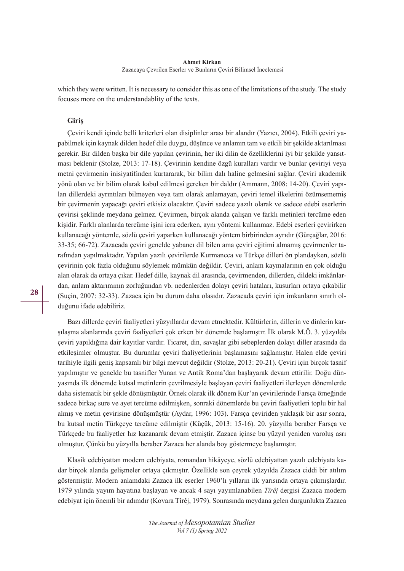which they were written. It is necessary to consider this as one of the limitations of the study. The study focuses more on the understandablity of the texts.

## **Giriş**

Çeviri kendi içinde belli kriterleri olan disiplinler arası bir alandır (Yazıcı, 2004). Etkili çeviri yapabilmek için kaynak dilden hedef dile duygu, düşünce ve anlamın tam ve etkili bir şekilde aktarılması gerekir. Bir dilden başka bir dile yapılan çevirinin, her iki dilin de özelliklerini iyi bir şekilde yansıtması beklenir (Stolze, 2013: 17-18). Çevirinin kendine özgü kuralları vardır ve bunlar çeviriyi veya metni çevirmenin inisiyatifinden kurtararak, bir bilim dalı haline gelmesini sağlar. Çeviri akademik yönü olan ve bir bilim olarak kabul edilmesi gereken bir daldır (Ammann, 2008: 14-20). Çeviri yapılan dillerdeki ayrıntıları bilmeyen veya tam olarak anlamayan, çeviri temel ilkelerini özümsememiş bir çevirmenin yapacağı çeviri etkisiz olacaktır. Çeviri sadece yazılı olarak ve sadece edebi eserlerin çevirisi şeklinde meydana gelmez. Çevirmen, birçok alanda çalışan ve farklı metinleri tercüme eden kişidir. Farklı alanlarda tercüme işini icra ederken, aynı yöntemi kullanmaz. Edebi eserleri çevirirken kullanacağı yöntemle, sözlü çeviri yaparken kullanacağı yöntem birbirinden ayrıdır (Gürçağlar, 2016: 33-35; 66-72). Zazacada çeviri genelde yabancı dil bilen ama çeviri eğitimi almamış çevirmenler tarafından yapılmaktadır. Yapılan yazılı çevirilerde Kurmancca ve Türkçe dilleri ön plandayken, sözlü çevirinin çok fazla olduğunu söylemek mümkün değildir. Çeviri, anlam kaymalarının en çok olduğu alan olarak da ortaya çıkar. Hedef dille, kaynak dil arasında, çevirmenden, dillerden, dildeki imkânlardan, anlam aktarımının zorluğundan vb. nedenlerden dolayı çeviri hataları, kusurları ortaya çıkabilir (Suçin, 2007: 32-33). Zazaca için bu durum daha olasıdır. Zazacada çeviri için imkanların sınırlı olduğunu ifade edebiliriz.

Bazı dillerde çeviri faaliyetleri yüzyıllardır devam etmektedir. Kültürlerin, dillerin ve dinlerin karşılaşma alanlarında çeviri faaliyetleri çok erken bir dönemde başlamıştır. İlk olarak M.Ö. 3. yüzyılda çeviri yapıldığına dair kayıtlar vardır. Ticaret, din, savaşlar gibi sebeplerden dolayı diller arasında da etkileşimler olmuştur. Bu durumlar çeviri faaliyetlerinin başlamasını sağlamıştır. Halen elde çeviri tarihiyle ilgili geniş kapsamlı bir bilgi mevcut değildir (Stolze, 2013: 20-21). Çeviri için birçok tasnif yapılmıştır ve genelde bu tasnifler Yunan ve Antik Roma'dan başlayarak devam ettirilir. Doğu dünyasında ilk dönemde kutsal metinlerin çevrilmesiyle başlayan çeviri faaliyetleri ilerleyen dönemlerde daha sistematik bir şekle dönüşmüştür. Örnek olarak ilk dönem Kur'an çevirilerinde Farsça örneğinde sadece birkaç sure ve ayet tercüme edilmişken, sonraki dönemlerde bu çeviri faaliyetleri toplu bir hal almış ve metin çevirisine dönüşmüştür (Aydar, 1996: 103). Farsça çeviriden yaklaşık bir asır sonra, bu kutsal metin Türkçeye tercüme edilmiştir (Küçük, 2013: 15-16). 20. yüzyılla beraber Farsça ve Türkçede bu faaliyetler hız kazanarak devam etmiştir. Zazaca içinse bu yüzyıl yeniden varoluş asrı olmuştur. Çünkü bu yüzyılla beraber Zazaca her alanda boy göstermeye başlamıştır.

Klasik edebiyattan modern edebiyata, romandan hikâyeye, sözlü edebiyattan yazılı edebiyata kadar birçok alanda gelişmeler ortaya çıkmıştır. Özellikle son çeyrek yüzyılda Zazaca ciddi bir atılım göstermiştir. Modern anlamdaki Zazaca ilk eserler 1960'lı yılların ilk yarısında ortaya çıkmışlardır. 1979 yılında yayım hayatına başlayan ve ancak 4 sayı yayımlanabilen *Tîrêj* dergisi Zazaca modern edebiyat için önemli bir adımdır (Kovara Tîrêj, 1979). Sonrasında meydana gelen durgunlukta Zazaca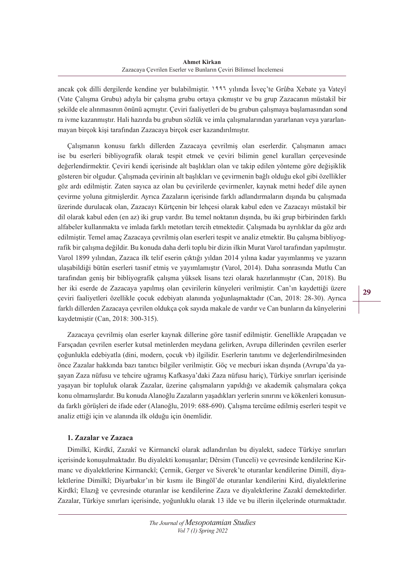ancak çok dilli dergilerde kendine yer bulabilmiştir. 1996 yılında İsveç'te Grûba Xebate ya Vateyî (Vate Çalışma Grubu) adıyla bir çalışma grubu ortaya çıkmıştır ve bu grup Zazacanın müstakil bir şekilde ele alınmasının önünü açmıştır. Çeviri faaliyetleri de bu grubun çalışmaya başlamasından sonra ivme kazanmıştır. Hali hazırda bu grubun sözlük ve imla çalışmalarından yararlanan veya yararlanmayan birçok kişi tarafından Zazacaya birçok eser kazandırılmıştır.

Çalışmanın konusu farklı dillerden Zazacaya çevrilmiş olan eserlerdir. Çalışmanın amacı ise bu eserleri bibliyografik olarak tespit etmek ve çeviri bilimin genel kuralları çerçevesinde değerlendirmektir. Çeviri kendi içerisinde alt başlıkları olan ve takip edilen yönteme göre değişiklik gösteren bir olgudur. Çalışmada çevirinin alt başlıkları ve çevirmenin bağlı olduğu ekol gibi özellikler göz ardı edilmiştir. Zaten sayıca az olan bu çevirilerde çevirmenler, kaynak metni hedef dile aynen çevirme yoluna gitmişlerdir. Ayrıca Zazaların içerisinde farklı adlandırmaların dışında bu çalışmada üzerinde durulacak olan, Zazacayı Kürtçenin bir lehçesi olarak kabul eden ve Zazacayı müstakil bir dil olarak kabul eden (en az) iki grup vardır. Bu temel noktanın dışında, bu iki grup birbirinden farklı alfabeler kullanmakta ve imlada farklı metotları tercih etmektedir. Çalışmada bu ayrılıklar da göz ardı edilmiştir. Temel amaç Zazacaya çevrilmiş olan eserleri tespit ve analiz etmektir. Bu çalışma bibliyografik bir çalışma değildir. Bu konuda daha derli toplu bir dizin ilkin Murat Varol tarafından yapılmıştır. Varol 1899 yılından, Zazaca ilk telif eserin çıktığı yıldan 2014 yılına kadar yayımlanmış ve yazarın ulaşabildiği bütün eserleri tasnif etmiş ve yayımlamıştır (Varol, 2014). Daha sonrasında Mutlu Can tarafından geniş bir bibliyografik çalışma yüksek lisans tezi olarak hazırlanmıştır (Can, 2018). Bu her iki eserde de Zazacaya yapılmış olan çevirilerin künyeleri verilmiştir. Can'ın kaydettiği üzere çeviri faaliyetleri özellikle çocuk edebiyatı alanında yoğunlaşmaktadır (Can, 2018: 28-30). Ayrıca farklı dillerden Zazacaya çevrilen oldukça çok sayıda makale de vardır ve Can bunların da künyelerini kaydetmiştir (Can, 2018: 300-315).

Zazacaya çevrilmiş olan eserler kaynak dillerine göre tasnif edilmiştir. Genellikle Arapçadan ve Farsçadan çevrilen eserler kutsal metinlerden meydana gelirken, Avrupa dillerinden çevrilen eserler çoğunlukla edebiyatla (dini, modern, çocuk vb) ilgilidir. Eserlerin tanıtımı ve değerlendirilmesinden önce Zazalar hakkında bazı tanıtıcı bilgiler verilmiştir. Göç ve mecburi iskan dışında (Avrupa'da yaşayan Zaza nüfusu ve tehcire uğramış Kafkasya'daki Zaza nüfusu hariç), Türkiye sınırları içerisinde yaşayan bir topluluk olarak Zazalar, üzerine çalışmaların yapıldığı ve akademik çalışmalara çokça konu olmamışlardır. Bu konuda Alanoğlu Zazaların yaşadıkları yerlerin sınırını ve kökenleri konusunda farklı görüşleri de ifade eder (Alanoğlu, 2019: 688-690). Çalışma tercüme edilmiş eserleri tespit ve analiz ettiği için ve alanında ilk olduğu için önemlidir.

# **1. Zazalar ve Zazaca**

Dimilkî, Kirdkî, Zazakî ve Kirmanckî olarak adlandırılan bu diyalekt, sadece Türkiye sınırları içerisinde konuşulmaktadır. Bu diyalekti konuşanlar; Dêrsim (Tunceli) ve çevresinde kendilerine Kirmanc ve diyalektlerine Kirmanckî; Çermik, Gerger ve Siverek'te oturanlar kendilerine Dimilî, diyalektlerine Dimilkî; Diyarbakır'ın bir kısmı ile Bingöl'de oturanlar kendilerini Kird, diyalektlerine Kirdkî; Elazığ ve çevresinde oturanlar ise kendilerine Zaza ve diyalektlerine Zazakî demektedirler. Zazalar, Türkiye sınırları içerisinde, yoğunluklu olarak 13 ilde ve bu illerin ilçelerinde oturmaktadır.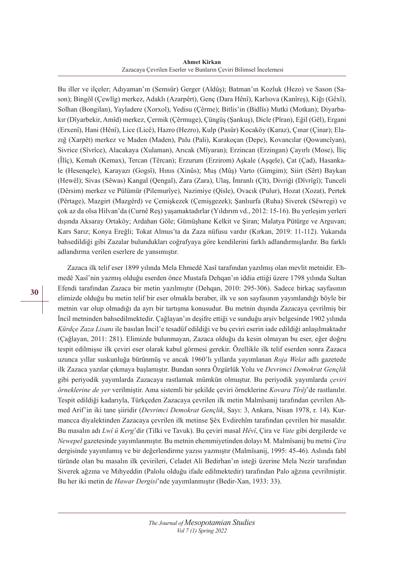#### **Ahmet Kirkan** Zazacaya Çevrilen Eserler ve Bunların Çeviri Bilimsel İncelemesi

Bu iller ve ilçeler; Adıyaman'ın (Semsûr) Gerger (Aldûş); Batman'ın Kozluk (Hezo) ve Sason (Sason); Bingöl (Çewlîg) merkez, Adaklı (Azarpêrt), Genç (Dara Hênî), Karlıova (Kanîreş), Kiğı (Gêxî), Solhan (Bongilan), Yayladere (Xorxol), Yedisu (Çêrme); Bitlis'in (Bidlîs) Mutki (Motkan); Diyarbakır (Dîyarbekir, Amîd) merkez, Çermik (Çêrmuge), Çüngüş (Şankuş), Dicle (Pîran), Eğil (Gêl), Ergani (Erxenî), Hani (Hênî), Lice (Licê), Hazro (Hezro), Kulp (Pasûr) Kocaköy (Karaz), Çınar (Çinar); Elazığ (Xarpêt) merkez ve Maden (Maden), Palu (Pali), Karakoçan (Depe), Kovancılar (Qowancîyan), Sivrice (Sîvrîce), Alacakaya (Xulaman), Arıcak (Mîyaran); Erzincan (Erzingan) Çayırlı (Mose), İliç (Îlîç), Kemah (Kemax), Tercan (Têrcan); Erzurum (Erzirom) Aşkale (Aşqele), Çat (Çad), Hasankale (Hesenqele), Karayazı (Gogsî), Hınıs (Xinûs); Muş (Mûş) Varto (Gimgim); Siirt (Sêrt) Baykan (Hewêl); Sivas (Sêwas) Kangal (Qengal), Zara (Zara), Ulaş, İmranlı (Çît), Divriği (Dîvrîgî); Tunceli (Dêrsim) merkez ve Pülümür (Pilemurîye), Nazimiye (Qisle), Ovacık (Pulur), Hozat (Xozat), Pertek (Pêrtage), Mazgirt (Mazgêrd) ve Çemişkezek (Çemişgezek); Şanlıurfa (Ruha) Siverek (Sêwregi) ve çok az da olsa Hilvan'da (Curnê Reş) yaşamaktadırlar (Yıldırım vd., 2012: 15-16). Bu yerleşim yerleri dışında Aksaray Ortaköy; Ardahan Göle; Gümüşhane Kelkit ve Şiran; Malatya Pütürge ve Arguvan; Kars Sarız; Konya Ereğli; Tokat Almus'ta da Zaza nüfusu vardır (Kırkan, 2019: 11-112). Yukarıda bahsedildiği gibi Zazalar bulundukları coğrafyaya göre kendilerini farklı adlandırmışlardır. Bu farklı adlandırma verilen eserlere de yansımıştır.

Zazaca ilk telif eser 1899 yılında Mela Ehmedê Xasî tarafından yazılmış olan mevlit metnidir. Ehmedê Xasî'nin yazmış olduğu eserden önce Mustafa Dehqan'ın iddia ettiği üzere 1798 yılında Sultan Efendi tarafından Zazaca bir metin yazılmıştır (Dehqan, 2010: 295-306). Sadece birkaç sayfasının elimizde olduğu bu metin telif bir eser olmakla beraber, ilk ve son sayfasının yayımlandığı böyle bir metnin var olup olmadığı da ayrı bir tartışma konusudur. Bu metnin dışında Zazacaya çevrilmiş bir İncil metninden bahsedilmektedir. Çağlayan'ın deşifre ettiği ve sunduğu arşiv belgesinde 1902 yılında *Kürdçe Zaza Lisanı* ile basılan İncil'e tesadüf edildiği ve bu çeviri eserin iade edildiği anlaşılmaktadır (Çağlayan, 2011: 281). Elimizde bulunmayan, Zazaca olduğu da kesin olmayan bu eser, eğer doğru tespit edilmişse ilk çeviri eser olarak kabul görmesi gerekir. Özellikle ilk telif eserden sonra Zazaca uzunca yıllar suskunluğa bürünmüş ve ancak 1960'lı yıllarda yayımlanan *Roja Welat* adlı gazetede ilk Zazaca yazılar çıkmaya başlamıştır. Bundan sonra Özgürlük Yolu ve *Devrimci Demokrat Gençlik* gibi periyodik yayımlarda Zazacaya rastlamak mümkün olmuştur. Bu periyodik yayımlarda *çeviri örneklerine de yer* verilmiştir. Ama sistemli bir şekilde çeviri örneklerine *Kovara Tîrêj*'de rastlanılır. Tespit edildiği kadarıyla, Türkçeden Zazacaya çevrilen ilk metin Malmîsanij tarafından çevrilen Ahmed Arif'in iki tane şiiridir (*Devrimci Demokrat Gençlik*, Sayı: 3, Ankara, Nisan 1978, r. 14). Kurmancca diyalektinden Zazacaya çevrilen ilk metinse Şêx Evdirehîm tarafından çevrilen bir masaldır. Bu masalın adı *Lwî û Kerg*'dir (Tilki ve Tavuk). Bu çeviri masal *Hêvî*, Çira ve *Vate* gibi dergilerde ve *Newepel* gazetesinde yayımlanmıştır. Bu metnin ehemmiyetinden dolayı M. Malmîsanij bu metni *Çira* dergisinde yayımlamış ve bir değerlendirme yazısı yazmıştır (Malmîsanij, 1995: 45-46). Aslında fabl türünde olan bu masalın ilk çevirileri, Celadet Ali Bedirhan'ın isteği üzerine Mela Nezir tarafından Siverek ağzına ve Mıhyeddin (Palolu olduğu ifade edilmektedir) tarafından Palo ağzına çevrilmiştir. Bu her iki metin de *Hawar Dergisi*'nde yayımlanmıştır (Bedir-Xan, 1933: 33).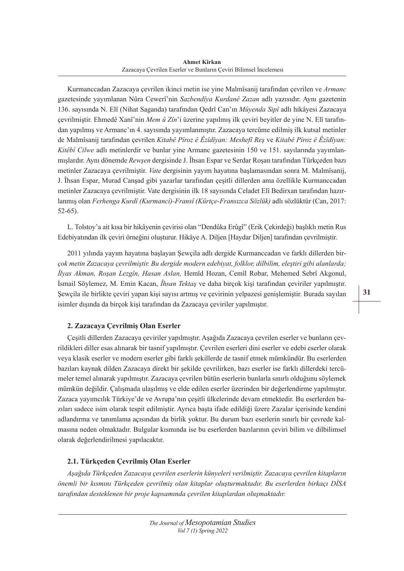Kurmanccadan Zazacaya çevrilen ikinci metin ise yine Malmîsanij tarafından çevrilen ve *Armanc* gazetesinde yayımlanan Nûra Cewerî'nin *Sazbendîya Kurdanê Zazan* adlı yazısıdır. Aynı gazetenin 136. sayısında N. Elî (Nihat Saganda) tarafından Qedrî Can'ın *Mûyenda Sipî* adlı hikâyesi Zazacaya çevrilmiştir. Ehmedê Xanî'nin *Mem û Zîn*'i üzerine yapılmış ilk çeviri beyitler de yine N. Elî tarafından yapılmış ve Armanc'ın 4. sayısında yayımlanmıştır. Zazacaya tercüme edilmiş ilk kutsal metinler de Malmîsanij tarafından çevrilen *Kitabê Pîroz ê Êzîdîyan: Meshefî Reş* ve *Kitabê Pîroz ê Êzîdîyan: Kitêbî Cilwe* adlı metinlerdir ve bunlar yine Armanc gazetesinin 150 ve 151. sayılarında yayımlanmışlardır. Aynı dönemde *Rewşen* dergisinde J. Îhsan Espar ve Serdar Roşan tarafından Türkçeden bazı metinler Zazacaya çevrilmiştir. *Vate* dergisinin yayım hayatına başlamasından sonra M. Malmîsanij, J. Îhsan Espar, Murad Canşad gibi yazarlar tarafından çeşitli dillerden ama özellikle Kurmanccadan metinler Zazacaya çevrilmiştir. Vate dergisinin ilk 18 sayısında Celadet Elî Bedirxan tarafından hazırlanmış olan *Ferhenga Kurdî (Kurmancî)-Fransî (Kürtçe-Fransızca Sözlük)* adlı sözlüktür (Can, 2017: 52-65).

L. Tolstoy'a ait kısa bir hikâyenin çevirisi olan "Dendûka Erûgî" (Erik Çekirdeği) başlıklı metin Rus Edebiyatından ilk çeviri örneğini oluşturur. Hikâye A. Diljen [Haydar Diljen] tarafından çevrilmiştir.

2011 yılında yayım hayatına başlayan Şewçila adlı dergide Kurmanccadan ve farklı dillerden bir*çok metin Zazacaya çevrilmiştir. Bu dergide modern edebiyat, folklor, dilbilim, eleştiri gibi alanlarda; İlyas Akman, Roşan Lezgîn, Hasan Aslan,* Hemîd Hozan, Cemîl Robar, Mehemed Sebrî Akgonul, İsmail Söylemez, M. Emin Kacan, *Îhsan Tektaş* ve daha birçok kişi tarafından çeviriler yapılmıştır. Şewçila ile birlikte çeviri yapan kişi sayısı artmış ve çevirinin yelpazesi genişlemiştir. Burada sayılan isimler dışında da birçok kişi tarafından da Zazacaya çeviriler yapılmıştır.

# **2. Zazacaya Çevrilmiş Olan Eserler**

Çeşitli dillerden Zazacaya çeviriler yapılmıştır. Aşağıda Zazacaya çevrilen eserler ve bunların çevrildikleri diller esas alınarak bir tasnif yapılmıştır. Çevrilen eserleri dini eserler ve edebi eserler olarak veya klasik eserler ve modern eserler gibi farklı şekillerde de tasnif etmek mümkündür. Bu eserlerden bazıları kaynak dilden Zazacaya direkt bir şekilde çevrilirken, bazı eserler ise farklı dillerdeki tercümeler temel alınarak yapılmıştır. Zazacaya çevrilen bütün eserlerin bunlarla sınırlı olduğunu söylemek mümkün değildir. Çalışmada ulaşılmış ve elde edilen eserler üzerinden bir değerlendirme yapılmıştır. Zazaca yayımcılık Türkiye'de ve Avrupa'nın çeşitli ülkelerinde devam etmektedir. Bu eserlerden bazıları sadece isim olarak tespit edilmiştir. Ayrıca başta ifade edildiği üzere Zazalar içerisinde kendini adlandırma ve tanımlama açısından da birlik yoktur. Bu durum bazı eserlerin sınırlı bir çevrede kalmasına neden olmaktadır. Bulgular kısmında ise bu eserlerden bazılarının çeviri bilim ve dilbilimsel olarak değerlendirilmesi yapılacaktır.

# **2.1. Türkçeden Çevrilmiş Olan Eserler**

*Aşağıda Türkçeden Zazacaya çevrilen eserlerin künyeleri verilmiştir. Zazacaya çevrilen kitapların önemli bir kısmını Türkçeden çevrilmiş olan kitaplar oluşturmaktadır. Bu eserlerden birkaçı DİSA tarafından desteklenen bir proje kapsamında çevrilen kitaplardan oluşmaktadır.*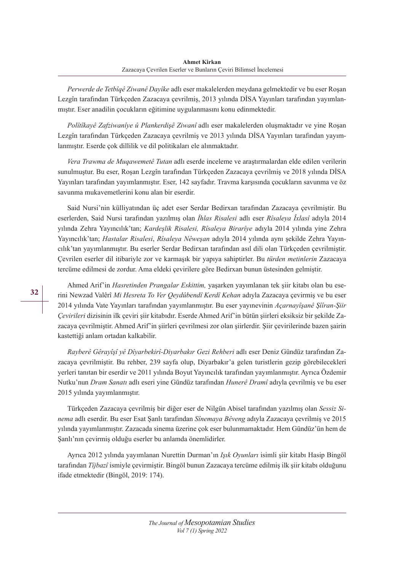*Perwerde de Tetbîqê Ziwanê Dayîke* adlı eser makalelerden meydana gelmektedir ve bu eser Roşan Lezgîn tarafından Türkçeden Zazacaya çevrilmiş, 2013 yılında DİSA Yayınları tarafından yayımlanmıştır. Eser anadilin çocukların eğitimine uygulanmasını konu edinmektedir.

*Polîtîkayê Zafziwanîye û Plankerdişê Ziwanî* adlı eser makalelerden oluşmaktadır ve yine Roşan Lezgîn tarafından Türkçeden Zazacaya çevrilmiş ve 2013 yılında DİSA Yayınları tarafından yayımlanmıştır. Eserde çok dillilik ve dil politikaları ele alınmaktadır.

*Vera Trawma de Muqawemetê Tutan* adlı eserde inceleme ve araştırmalardan elde edilen verilerin sunulmuştur. Bu eser, Roşan Lezgîn tarafından Türkçeden Zazacaya çevrilmiş ve 2018 yılında DİSA Yayınları tarafından yayımlanmıştır. Eser, 142 sayfadır. Travma karşısında çocukların savunma ve öz savunma mukavemetlerini konu alan bir eserdir.

Said Nursi'nin külliyatından üç adet eser Serdar Bedirxan tarafından Zazacaya çevrilmiştir. Bu eserlerden, Said Nursi tarafından yazılmış olan *İhlas Risalesi* adlı eser *Rîsaleya Îxlasî* adıyla 2014 yılında Zehra Yayıncılık'tan; *Kardeşlik Risalesi, Rîsaleya Birarîye* adıyla 2014 yılında yine Zehra Yayıncılık'tan; *Hastalar Risalesi*, *Rîsaleya Nêweşan* adıyla 2014 yılında aynı şekilde Zehra Yayıncılık'tan yayımlanmıştır. Bu eserler Serdar Bedirxan tarafından asıl dili olan Türkçeden çevrilmiştir. Çevrilen eserler dil itibariyle zor ve karmaşık bir yapıya sahiptirler. Bu *türden metinlerin* Zazacaya tercüme edilmesi de zordur. Ama eldeki çevirilere göre Bedirxan bunun üstesinden gelmiştir.

Ahmed Arif'in *Hasretinden Prangalar Eskittim,* yaşarken yayımlanan tek şiir kitabı olan bu eserini Newzad Valêrî *Mi Hesreta To Ver Qeydûbendî Kerdî Kehan* adıyla Zazacaya çevirmiş ve bu eser 2014 yılında Vate Yayınları tarafından yayımlanmıştır. Bu eser yayınevinin *Açarnayîşanê Şîîran-Şiir Çevirileri* dizisinin ilk çeviri şiir kitabıdır. Eserde Ahmed Arif'in bütün şiirleri eksiksiz bir şekilde Zazacaya çevrilmiştir. Ahmed Arif'in şiirleri çevrilmesi zor olan şiirlerdir. Şiir çevirilerinde bazen şairin kastettiği anlam ortadan kalkabilir.

*Rayberê Gêrayîşî yê Dîyarbekirî-Diyarbakır Gezi Rehberi* adlı eser Deniz Gündüz tarafından Zazacaya çevrilmiştir. Bu rehber, 239 sayfa olup, Diyarbakır'a gelen turistlerin gezip görebilecekleri yerleri tanıtan bir eserdir ve 2011 yılında Boyut Yayıncılık tarafından yayımlanmıştır. Ayrıca Özdemir Nutku'nun *Dram Sanatı* adlı eseri yine Gündüz tarafından *Hunerê Dramî* adıyla çevrilmiş ve bu eser 2015 yılında yayımlanmıştır.

Türkçeden Zazacaya çevrilmiş bir diğer eser de Nilgün Abisel tarafından yazılmış olan *Sessiz Sinema* adlı eserdir. Bu eser Esat Şanlı tarafından *Sînemaya Bêveng* adıyla Zazacaya çevrilmiş ve 2015 yılında yayımlanmıştır. Zazacada sinema üzerine çok eser bulunmamaktadır. Hem Gündüz'ün hem de Şanlı'nın çevirmiş olduğu eserler bu anlamda önemlidirler.

Ayrıca 2012 yılında yayımlanan Nurettin Durman'ın *Işık Oyunları* isimli şiir kitabı Hasip Bingöl tarafından *Tîjbazî* ismiyle çevirmiştir. Bingöl bunun Zazacaya tercüme edilmiş ilk şiir kitabı olduğunu ifade etmektedir (Bingöl, 2019: 174).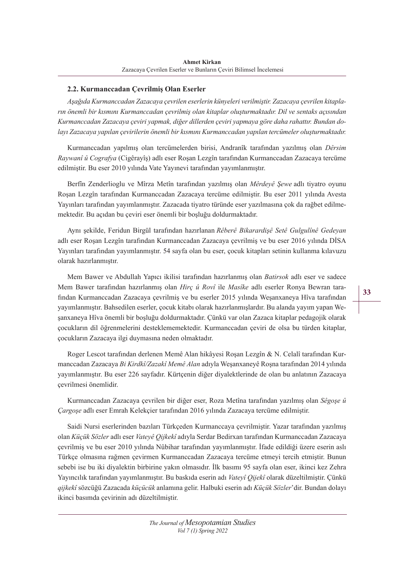# **2.2. Kurmanccadan Çevrilmiş Olan Eserler**

*Aşağıda Kurmanccadan Zazacaya çevrilen eserlerin künyeleri verilmiştir. Zazacaya çevrilen kitapların önemli bir kısmını Kurmanccadan çevrilmiş olan kitaplar oluşturmaktadır. Dil ve sentaks açısından Kurmanccadan Zazacaya çeviri yapmak, diğer dillerden çeviri yapmaya göre daha rahattır. Bundan dolayı Zazacaya yapılan çevirilerin önemli bir kısmını Kurmanccadan yapılan tercümeler oluşturmaktadır.*

Kurmanccadan yapılmış olan tercümelerden birisi, Andranîk tarafından yazılmış olan *Dêrsim Raywanî û Cografya* (Cigêrayîş) adlı eser Roşan Lezgîn tarafından Kurmanccadan Zazacaya tercüme edilmiştir. Bu eser 2010 yılında Vate Yayınevi tarafından yayımlanmıştır.

Berfîn Zenderlioglu ve Mîrza Metîn tarafından yazılmış olan *Mêrdeyê Şewe* adlı tiyatro oyunu Roşan Lezgîn tarafından Kurmanccadan Zazacaya tercüme edilmiştir. Bu eser 2011 yılında Avesta Yayınları tarafından yayımlanmıştır. Zazacada tiyatro türünde eser yazılmasına çok da rağbet edilmemektedir. Bu açıdan bu çeviri eser önemli bir boşluğu doldurmaktadır.

Aynı şekilde, Feridun Birgül tarafından hazırlanan *Rêberê Bikarardişê Setê Gulgulînê Gedeyan* adlı eser Roşan Lezgîn tarafından Kurmanccadan Zazacaya çevrilmiş ve bu eser 2016 yılında DİSA Yayınları tarafından yayımlanmıştır. 54 sayfa olan bu eser, çocuk kitapları setinin kullanma kılavuzu olarak hazırlanmıştır.

Mem Bawer ve Abdullah Yapıcı ikilisi tarafından hazırlanmış olan *Batirsok* adlı eser ve sadece Mem Bawer tarafından hazırlanmış olan *Hirç û Rovî* ile *Masîke* adlı eserler Ronya Bewran tarafından Kurmanccadan Zazacaya çevrilmiş ve bu eserler 2015 yılında Weşanxaneya Hîva tarafından yayımlanmıştır. Bahsedilen eserler, çocuk kitabı olarak hazırlanmışlardır. Bu alanda yayım yapan Weşanxaneya Hîva önemli bir boşluğu doldurmaktadır. Çünkü var olan Zazaca kitaplar pedagojik olarak çocukların dil öğrenmelerini desteklememektedir. Kurmanccadan çeviri de olsa bu türden kitaplar, çocukların Zazacaya ilgi duymasına neden olmaktadır.

Roger Lescot tarafından derlenen Memê Alan hikâyesi Roşan Lezgîn & N. Celalî tarafından Kurmanccadan Zazacaya *Bi Kirdkî/Zazakî Memê Alan* adıyla Weşanxaneyê Roşna tarafından 2014 yılında yayımlanmıştır. Bu eser 226 sayfadır. Kürtçenin diğer diyalektlerinde de olan bu anlatının Zazacaya çevrilmesi önemlidir.

Kurmanccadan Zazacaya çevrilen bir diğer eser, Roza Metîna tarafından yazılmış olan *Sêgoşe û Çargoşe* adlı eser Emrah Kelekçier tarafından 2016 yılında Zazacaya tercüme edilmiştir.

Saidi Nursi eserlerinden bazıları Türkçeden Kurmanccaya çevrilmiştir. Yazar tarafından yazılmış olan *Küçük Sözler* adlı eser *Vateyê Qijkekî* adıyla Serdar Bedirxan tarafından Kurmanccadan Zazacaya çevrilmiş ve bu eser 2010 yılında Nûbihar tarafından yayımlanmıştır. İfade edildiği üzere eserin aslı Türkçe olmasına rağmen çevirmen Kurmanccadan Zazacaya tercüme etmeyi tercih etmiştir. Bunun sebebi ise bu iki diyalektin birbirine yakın olmasıdır. İlk basımı 95 sayfa olan eser, ikinci kez Zehra Yayıncılık tarafından yayımlanmıştır. Bu baskıda eserin adı *Vateyî Qijekî* olarak düzeltilmiştir. Çünkü *qijkekî* sözcüğü Zazacada *küçücük* anlamına gelir. Halbuki eserin adı *Küçük Sözler*'dir. Bundan dolayı ikinci basımda çevirinin adı düzeltilmiştir.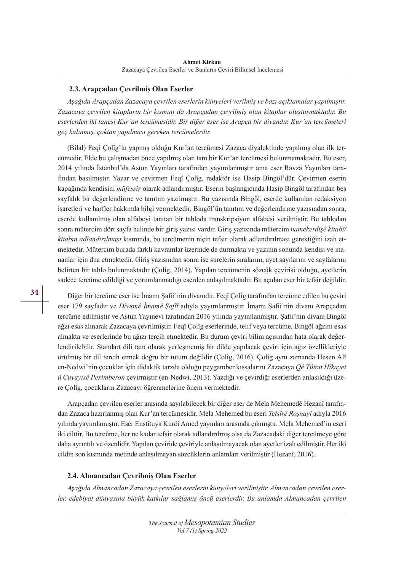## **2.3. Arapçadan Çevrilmiş Olan Eserler**

*Aşağıda Arapçadan Zazacaya çevrilen eserlerin künyeleri verilmiş ve bazı açıklamalar yapılmıştır. Zazacaya çevrilen kitapların bir kısmını da Arapçadan çevrilmiş olan kitaplar oluşturmaktadır. Bu eserlerden iki tanesi Kur'an tercümesidir. Bir diğer eser ise Arapça bir divandır. Kur'an tercümeleri geç kalınmış, çoktan yapılması gereken tercümelerdir.*

(Bîlal) Feqî Çolîg'in yapmış olduğu Kur'an tercümesi Zazaca diyalektinde yapılmış olan ilk tercümedir. Elde bu çalışmadan önce yapılmış olan tam bir Kur'an tercümesi bulunmamaktadır. Bu eser, 2014 yılında İstanbul'da Astun Yayınları tarafından yayımlanmıştır ama eser Ravza Yayınları tarafından basılmıştır. Yazar ve çevirmen Feqî Çolîg, redaktör ise Hasip Bingöl'dür. Çevirmen eserin kapağında kendisini *müfessir* olarak adlandırmıştır. Eserin başlangıcında Hasip Bingöl tarafından beş sayfalık bir değerlendirme ve tanıtım yazılmıştır. Bu yazısında Bingöl, eserde kullanılan redaksiyon işaretleri ve harfler hakkında bilgi vermektedir. Bingöl'ün tanıtım ve değerlendirme yazısından sonra, eserde kullanılmış olan alfabeyi tanıtan bir tabloda transkripsiyon alfabesi verilmiştir. Bu tablodan sonra mütercim dört sayfa halinde bir giriş yazısı vardır. Giriş yazısında mütercim *namekerdişê kitabî/ kitabın adlandırılması* kısmında, bu tercümenin niçin tefsir olarak adlandırılması gerektiğini izah etmektedir. Mütercim burada farklı kavramlar üzerinde de durmakta ve yazının sonunda kendisi ve inananlar için dua etmektedir. Giriş yazısından sonra ise surelerin sıralarını, ayet sayılarını ve sayfalarını belirten bir tablo bulunmaktadır (Çolîg, 2014). Yapılan tercümenin sözcük çevirisi olduğu, ayetlerin sadece tercüme edildiği ve yorumlanmadığı eserden anlaşılmaktadır. Bu açıdan eser bir tefsir değildir.

Diğer bir tercüme eser ise İmamı Şafii'nin divanıdır. Feqî Çolîg tarafından tercüme edilen bu çeviri eser 179 sayfadır ve *Dîwonê Îmamê Şafîî* adıyla yayımlanmıştır. İmamı Şafii'nin divanı Arapçadan tercüme edilmiştir ve Astun Yayınevi tarafından 2016 yılında yayımlanmıştır. Şafii'nin divanı Bingöl ağzı esas alınarak Zazacaya çevrilmiştir. Feqî Çolîg eserlerinde, telif veya tercüme, Bingöl ağzını esas almakta ve eserlerinde bu ağızı tercih etmektedir. Bu durum çeviri bilim açısından hata olarak değerlendirilebilir. Standart dili tam olarak yerleşmemiş bir dilde yapılacak çeviri için ağız özellikleriyle örülmüş bir dil tercih etmek doğru bir tutum değildir (Çolîg, 2016). Çolîg aynı zamanda Hesen Alî en-Nedwi'nin çocuklar için didaktik tarzda olduğu peygamber kıssalarını Zazacaya *Qê Tûton Hîkayet û Cuyayîşê Peximberon* çevirmiştir (en-Nedwi, 2013). Yazdığı ve çevirdiği eserlerden anlaşıldığı üzere Çolîg, çocukların Zazacayı öğrenmelerine önem vermektedir.

Arapçadan çevrilen eserler arasında sayılabilecek bir diğer eser de Mela Mehemedê Hezanî tarafından Zazaca hazırlanmış olan Kur'an tercümesidir. Mela Mehemed bu eseri *Tefsîrê Roşnayî* adıyla 2016 yılında yayımlamıştır. Eser Enstîtuya Kurdî Amed yayınları arasında çıkmıştır. Mela Mehemed'in eseri iki cilttir. Bu tercüme, her ne kadar tefsir olarak adlandırılmış olsa da Zazacadaki diğer tercümeye göre daha ayrıntılı ve özenlidir. Yapılan çeviride çeviriyle anlaşılmayacak olan ayetler izah edilmiştir. Her iki cildin son kısmında metinde anlaşılmayan sözcüklerin anlamları verilmiştir (Hezanî, 2016).

## **2.4. Almancadan Çevrilmiş Olan Eserler**

*Aşağıda Almancadan Zazacaya çevrilen eserlerin künyeleri verilmiştir. Almancadan çevrilen eserler, edebiyat dünyasına büyük katkılar sağlamış öncü eserlerdir. Bu anlamda Almancadan çevrilen*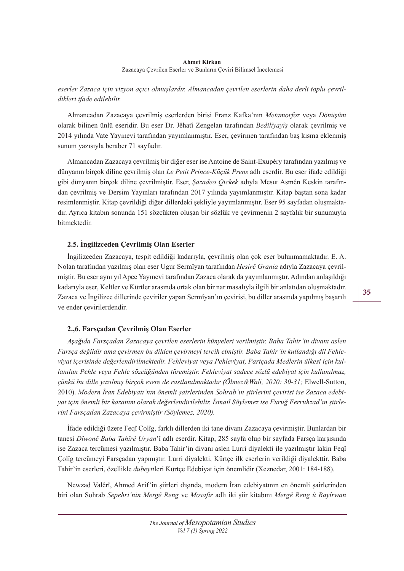*eserler Zazaca için vizyon açıcı olmuşlardır. Almancadan çevrilen eserlerin daha derli toplu çevrildikleri ifade edilebilir.*

Almancadan Zazacaya çevrilmiş eserlerden birisi Franz Kafka'nın *Metamorfoz* veya *Dönüşüm* olarak bilinen ünlü eseridir. Bu eser Dr. Jêhatî Zengelan tarafından *Bedilîyayîş* olarak çevrilmiş ve 2014 yılında Vate Yayınevi tarafından yayımlanmıştır. Eser, çevirmen tarafından baş kısma eklenmiş sunum yazısıyla beraber 71 sayfadır.

Almancadan Zazacaya çevrilmiş bir diğer eser ise Antoine de Saint-Exupéry tarafından yazılmış ve dünyanın birçok diline çevrilmiş olan *Le Petit Prince-Küçük Prens* adlı eserdir. Bu eser ifade edildiği gibi dünyanın birçok diline çevrilmiştir. Eser, *Şazadeo Qıckek* adıyla Mesut Asmên Keskin tarafından çevrilmiş ve Dersim Yayınları tarafından 2017 yılında yayımlanmıştır. Kitap baştan sona kadar resimlenmiştir. Kitap çevrildiği diğer dillerdeki şekliyle yayımlanmıştır. Eser 95 sayfadan oluşmaktadır. Ayrıca kitabın sonunda 151 sözcükten oluşan bir sözlük ve çevirmenin 2 sayfalık bir sunumuyla bitmektedir.

# **2.5. İngilizceden Çevrilmiş Olan Eserler**

İngilizceden Zazacaya, tespit edildiği kadarıyla, çevrilmiş olan çok eser bulunmamaktadır. E. A. Nolan tarafından yazılmış olan eser Ugur Sermîyan tarafından *Hesirê Grania* adıyla Zazacaya çevrilmiştir. Bu eser aynı yıl Apec Yayınevi tarafından Zazaca olarak da yayımlanmıştır. Adından anlaşıldığı kadarıyla eser, Keltler ve Kürtler arasında ortak olan bir nar masalıyla ilgili bir anlatıdan oluşmaktadır. Zazaca ve İngilizce dillerinde çeviriler yapan Sermîyan'ın çevirisi, bu diller arasında yapılmış başarılı ve ender çevirilerdendir.

# **2.,6. Farsçadan Çevrilmiş Olan Eserler**

*Aşağıda Farsçadan Zazacaya çevrilen eserlerin künyeleri verilmiştir. Baba Tahir'in divanı aslen Farsça değildir ama çevirmen bu dilden çevirmeyi tercih etmiştir. Baba Tahir'in kullandığı dil Fehleviyat içerisinde değerlendirilmektedir. Fehleviyat veya Pehleviyat, Partçada Medlerin ülkesi için kullanılan Pehle veya Fehle sözcüğünden türemiştir. Fehleviyat sadece sözlü edebiyat için kullanılmaz, çünkü bu dille yazılmış birçok esere de rastlanılmaktadır (Ölmez&Wali, 2020: 30-31;* Elwell-Sutton, 2010). *Modern İran Edebiyatı'nın önemli şairlerinden Sohrab'ın şiirlerini çevirisi ise Zazaca edebiyat için önemli bir kazanım olarak değerlendirilebilir. İsmail Söylemez ise Furuğ Ferruhzad'ın şiirlerini Farsçadan Zazacaya çevirmiştir (Söylemez, 2020).*

İfade edildiği üzere Feqî Çolîg, farklı dillerden iki tane divanı Zazacaya çevirmiştir. Bunlardan bir tanesi *Dîwonê Baba Tahîrê Uryan*'î adlı eserdir. Kitap, 285 sayfa olup bir sayfada Farsça karşısında ise Zazaca tercümesi yazılmıştır. Baba Tahir'in divanı aslen Lurri diyalekti ile yazılmıştır lakin Feqî Çolîg tercümeyi Farsçadan yapmıştır. Lurri diyalekti, Kürtçe ilk eserlerin verildiği diyalekttir. Baba Tahir'in eserleri, özellikle *dubeyti*leri Kürtçe Edebiyat için önemlidir (Xeznedar, 2001: 184-188).

Newzad Valêrî, Ahmed Arif'in şiirleri dışında, modern İran edebiyatının en önemli şairlerinden biri olan Sohrab *Sepehri'nin Mergê Reng* ve *Mosafir* adlı iki şiir kitabını *Mergê Reng û Rayîrwan*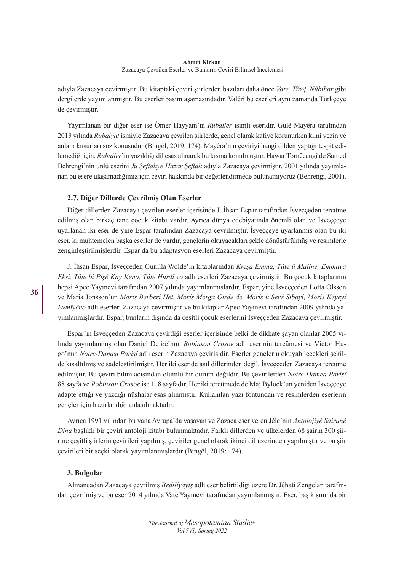adıyla Zazacaya çevirmiştir. Bu kitaptaki çeviri şiirlerden bazıları daha önce *Vate, Tîroj, Nûbihar* gibi dergilerde yayımlanmıştır. Bu eserler basım aşamasındadır. Valêrî bu eserleri aynı zamanda Türkçeye de çevirmiştir.

Yayımlanan bir diğer eser ise Ömer Hayyam'ın *Rubailer* isimli eseridir. Gulê Mayêra tarafından 2013 yılında *Rubaiyat* ismiyle Zazacaya çevrilen şiirlerde, genel olarak kafiye korunurken kimi vezin ve anlam kusurları söz konusudur (Bingöl, 2019: 174). Mayêra'nın çeviriyi hangi dilden yaptığı tespit edilemediği için, *Rubailer*'in yazıldığı dil esas alınarak bu kısma konulmuştur. Hawar Tornêcengî de Samed Behrengi'nin ünlü eserini *Jü Şeftaliye Hazar Şeftali* adıyla Zazacaya çevirmiştir. 2001 yılında yayımlanan bu esere ulaşamadığımız için çeviri hakkında bir değerlendirmede bulunamıyoruz (Behrengi, 2001).

## **2.7. Diğer Dillerde Çevrilmiş Olan Eserler**

Diğer dillerden Zazacaya çevrilen eserler içerisinde J. Îhsan Espar tarafından İsveççeden tercüme edilmiş olan birkaç tane çocuk kitabı vardır. Ayrıca dünya edebiyatında önemli olan ve İsveççeye uyarlanan iki eser de yine Espar tarafından Zazacaya çevrilmiştir. İsveççeye uyarlanmış olan bu iki eser, ki muhtemelen başka eserler de vardır, gençlerin okuyacakları şekle dönüştürülmüş ve resimlerle zenginleştirilmişlerdir. Espar da bu adaptasyon eserleri Zazacaya çevirmiştir.

J. Îhsan Espar, İsveççeden Gunilla Wolde'ın kitaplarından *Kreşa Emma, Tûte û Malîne, Emmaya Eksî, Tûte bi Pişê Kay Keno, Tûte Hurdî yo* adlı eserleri Zazacaya çevirmiştir. Bu çocuk kitaplarının hepsi Apec Yayınevi tarafından 2007 yılında yayımlanmışlardır. Espar, yine İsveççeden Lotta Olsson ve Maria Jönsson'un *Morîs Berberî Het, Morîs Merga Girde de, Morîs û Serê Sibayî, Morîs Keyeyî Ewnîyêno* adlı eserleri Zazacaya çevirmiştir ve bu kitaplar Apec Yayınevi tarafından 2009 yılında yayımlanmışlardır. Espar, bunların dışında da çeşitli çocuk eserlerini İsveççeden Zazacaya çevirmiştir.

Espar'ın İsveççeden Zazacaya çevirdiği eserler içerisinde belki de dikkate şayan olanlar 2005 yılında yayımlanmış olan Daniel Defoe'nun *Robinson Crusoe* adlı eserinin tercümesi ve Victor Hugo'nun *Notre-Damea Parîsî* adlı eserin Zazacaya çevirisidir. Eserler gençlerin okuyabilecekleri şekilde kısaltılmış ve sadeleştirilmiştir. Her iki eser de asıl dillerinden değil, İsveççeden Zazacaya tercüme edilmiştir. Bu çeviri bilim açısından olumlu bir durum değildir. Bu çevirilerden *Notre-Damea Parîsî*  88 sayfa ve *Robinson Crusoe* ise 118 sayfadır. Her iki tercümede de Maj Bylock'un yeniden İsveççeye adapte ettiği ve yazdığı nüshalar esas alınmıştır. Kullanılan yazı fontundan ve resimlerden eserlerin gençler için hazırlandığı anlaşılmaktadır.

Ayrıca 1991 yılından bu yana Avrupa'da yaşayan ve Zazaca eser veren Jêle'nin *Antolojiyê Sairunê Dina* başlıklı bir çeviri antoloji kitabı bulunmaktadır. Farklı dillerden ve ülkelerden 68 şairin 300 şiirine çeşitli şiirlerin çevirileri yapılmış, çeviriler genel olarak ikinci dil üzerinden yapılmıştır ve bu şiir çevirileri bir seçki olarak yayımlanmışlardır (Bingöl, 2019: 174).

# **3. Bulgular**

Almancadan Zazacaya çevrilmiş *Bedilîyayîş* adlı eser belirtildiği üzere Dr. Jêhatî Zengelan tarafından çevrilmiş ve bu eser 2014 yılında Vate Yayınevi tarafından yayımlanmıştır. Eser, baş kısmında bir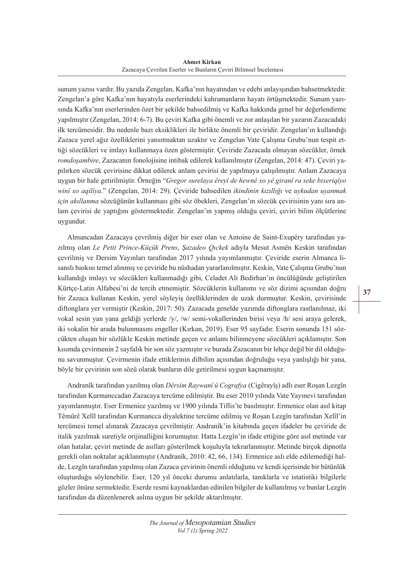**Ahmet Kirkan** Zazacaya Çevrilen Eserler ve Bunların Çeviri Bilimsel İncelemesi

sunum yazısı vardır. Bu yazıda Zengelan, Kafka'nın hayatından ve edebi anlayışından bahsetmektedir. Zengelan'a göre Kafka'nın hayatıyla eserlerindeki kahramanların hayatı örtüşmektedir. Sunum yazısında Kafka'nın eserlerinden özet bir şekilde bahsedilmiş ve Kafka hakkında genel bir değerlendirme yapılmıştır (Zengelan, 2014: 6-7). Bu çeviri Kafka gibi önemli ve zor anlaşılan bir yazarın Zazacadaki ilk tercümesidir. Bu nedenle bazı eksiklikleri ile birlikte önemli bir çeviridir. Zengelan'ın kullandığı Zazaca yerel ağız özelliklerini yansıtmaktan uzaktır ve Zengelan Vate Çalışma Grubu'nun tespit ettiği sözcükleri ve imlayı kullanmaya özen göstermiştir. Çeviride Zazacada olmayan sözcükler, örnek *romdoşambire*, Zazacanın fonolojisine intibak edilerek kullanılmıştır (Zengelan, 2014: 47). Çeviri yapılırken sözcük çevirisine dikkat edilerek anlam çevirisi de yapılmaya çalışılmıştır. Anlam Zazacaya uygun bir hale getirilmiştir. Örneğin "*Gregor surelaya êreyî de hewnê xo yê giranî ra seke bixeriqîyo winî xo aqilîya*." (Zengelan, 2014: 29). Çeviride bahsedilen *ikindinin kızıllığı* ve *uykudan uyanmak için akıllanma* sözcüğünün kullanması gibi söz öbekleri, Zengelan'ın sözcük çevirisinin yanı sıra anlam çevirisi de yaptığını göstermektedir. Zengelan'ın yapmış olduğu çeviri, çeviri bilim ölçütlerine uygundur.

Almancadan Zazacaya çevrilmiş diğer bir eser olan ve Antoine de Saint-Exupéry tarafından yazılmış olan *Le Petit Prince-Küçük Prens*, *Şazadeo Qıckek* adıyla Mesut Asmên Keskin tarafından çevrilmiş ve Dersim Yayınları tarafından 2017 yılında yayımlanmıştır. Çeviride eserin Almanca lisanslı baskısı temel alınmış ve çeviride bu nüshadan yararlanılmıştır. Keskin, Vate Çalışma Grubu'nun kullandığı imlayı ve sözcükleri kullanmadığı gibi, Celadet Ali Bedirhan'ın öncülüğünde geliştirilen Kürtçe-Latin Alfabesi'ni de tercih etmemiştir. Sözcüklerin kullanımı ve söz dizimi açısından doğru bir Zazaca kullanan Keskin, yerel söyleyiş özelliklerinden de uzak durmuştur. Keskin, çevirisinde diftonglara yer vermiştir (Keskin, 2017: 50). Zazacada genelde yazımda diftonglara rastlanılmaz, iki vokal sesin yan yana geldiği yerlerde /y/, /w/ semi-vokallerinden birisi veya /h/ sesi araya gelerek, iki vokalin bir arada bulunmasını engeller (Kırkan, 2019). Eser 95 sayfadır. Eserin sonunda 151 sözcükten oluşan bir sözlükle Keskin metinde geçen ve anlamı bilinmeyene sözcükleri açıklamıştır. Son kısımda çevirmenin 2 sayfalık bir son söz yazmıştır ve burada Zazacanın bir lehçe değil bir dil olduğunu savunmuştur. Çevirmenin ifade ettiklerinin dilbilim açısından doğruluğu veya yanlışlığı bir yana, böyle bir çevirinin son sözü olarak bunların dile getirilmesi uygun kaçmamıştır.

Andranîk tarafından yazılmış olan *Dêrsim Raywanî û Cografya* (Cigêrayîş) adlı eser Roşan Lezgîn tarafından Kurmanccadan Zazacaya tercüme edilmiştir. Bu eser 2010 yılında Vate Yayınevi tarafından yayımlanmıştır. Eser Ermenice yazılmış ve 1900 yılında Tiflis'te basılmıştır. Ermenice olan asıl kitap Têmûrê Xelîl tarafından Kurmancca diyalektine tercüme edilmiş ve Roşan Lezgîn tarafından Xelîl'in tercümesi temel alınarak Zazacaya çevrilmiştir. Andranîk'in kitabında geçen ifadeler bu çeviride de italik yazılmak suretiyle orijinalliğini korumuştur. Hatta Lezgîn'in ifade ettiğine göre asıl metinde var olan hatalar, çeviri metinde de asılları gösterilmek koşuluyla tekrarlanmıştır. Metinde birçok dipnotla gerekli olan noktalar açıklanmıştır (Andranîk, 2010: 42, 66, 134). Ermenice aslı elde edilemediği halde, Lezgîn tarafından yapılmış olan Zazaca çevirinin önemli olduğunu ve kendi içerisinde bir bütünlük oluşturduğu söylenebilir. Eser, 120 yıl önceki durumu anlatılarla, tanıklarla ve istatistiki bilgilerle gözler önüne sermektedir. Eserde resmi kaynaklardan edinilen bilgiler de kullanılmış ve bunlar Lezgîn tarafından da düzenlenerek aslına uygun bir şekilde aktarılmıştır.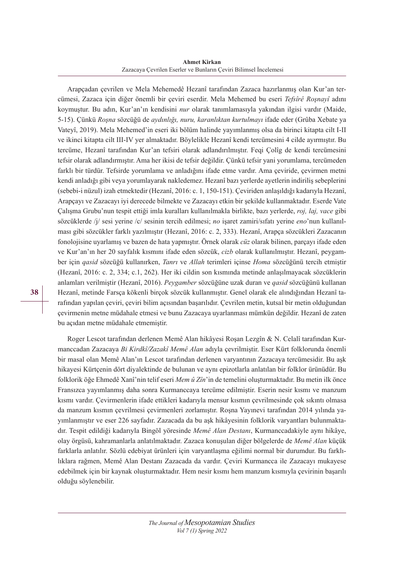**Ahmet Kirkan** Zazacaya Çevrilen Eserler ve Bunların Çeviri Bilimsel İncelemesi

Arapçadan çevrilen ve Mela Mehemedê Hezanî tarafından Zazaca hazırlanmış olan Kur'an tercümesi, Zazaca için diğer önemli bir çeviri eserdir. Mela Mehemed bu eseri *Tefsîrê Roşnayî* adını koymuştur. Bu adın, Kur'an'ın kendisini *nur* olarak tanımlamasıyla yakından ilgisi vardır (Maide, 5-15). Çünkü *Roşna* sözcüğü de *aydınlığı, nuru, karanlıktan kurtulmayı* ifade eder (Grûba Xebate ya Vateyî, 2019). Mela Mehemed'in eseri iki bölüm halinde yayımlanmış olsa da birinci kitapta cilt I-II ve ikinci kitapta cilt III-IV yer almaktadır. Böylelikle Hezanî kendi tercümesini 4 cilde ayırmıştır. Bu tercüme, Hezanî tarafından Kur'an tefsiri olarak adlandırılmıştır. Feqi Çolîg de kendi tercümesini tefsir olarak adlandırmıştır. Ama her ikisi de tefsir değildir. Çünkü tefsir yani yorumlama, tercümeden farklı bir türdür. Tefsirde yorumlama ve anladığını ifade etme vardır. Ama çeviride, çevirmen metni kendi anladığı gibi veya yorumlayarak nakledemez. Hezanî bazı yerlerde ayetlerin indiriliş sebeplerini (sebebi-i nüzul) izah etmektedir (Hezanî, 2016: c. 1, 150-151). Çeviriden anlaşıldığı kadarıyla Hezanî, Arapçayı ve Zazacayı iyi derecede bilmekte ve Zazacayı etkin bir şekilde kullanmaktadır. Eserde Vate Çalışma Grubu'nun tespit ettiği imla kuralları kullanılmakla birlikte, bazı yerlerde, *roj, laj, vace* gibi sözcüklerde /j/ sesi yerine /c/ sesinin tercih edilmesi; *no* işaret zamiri/sıfatı yerine *eno*'nun kullanılması gibi sözcükler farklı yazılmıştır (Hezanî, 2016: c. 2, 333). Hezanî, Arapça sözcükleri Zazacanın fonolojisine uyarlamış ve bazen de hata yapmıştır. Örnek olarak *cüz* olarak bilinen, parçayı ifade eden ve Kur'an'ın her 20 sayfalık kısmını ifade eden sözcük, *cizb* olarak kullanılmıştır. Hezanî, peygamber için *qasid* sözcüğü kullanırken, *Tanrı* ve *Allah* terimleri içinse *Homa* sözcüğünü tercih etmiştir (Hezanî, 2016: c. 2, 334; c.1, 262). Her iki cildin son kısmında metinde anlaşılmayacak sözcüklerin anlamları verilmiştir (Hezanî, 2016). *Peygamber* sözcüğüne uzak duran ve *qasid* sözcüğünü kullanan Hezanî, metinde Farsça kökenli birçok sözcük kullanmıştır. Genel olarak ele alındığından Hezanî tarafından yapılan çeviri, çeviri bilim açısından başarılıdır. Çevrilen metin, kutsal bir metin olduğundan çevirmenin metne müdahale etmesi ve bunu Zazacaya uyarlanması mümkün değildir. Hezanî de zaten bu açıdan metne müdahale etmemiştir.

Roger Lescot tarafından derlenen Memê Alan hikâyesi Roşan Lezgîn & N. Celalî tarafından Kurmanccadan Zazacaya *Bi Kirdkî/Zazakî Memê Alan* adıyla çevrilmiştir. Eser Kürt folklorunda önemli bir masal olan Memê Alan'ın Lescot tarafından derlenen varyantının Zazacaya tercümesidir. Bu aşk hikayesi Kürtçenin dört diyalektinde de bulunan ve aynı epizotlarla anlatılan bir folklor ürünüdür. Bu folklorik öğe Ehmedê Xanî'nin telif eseri *Mem û Zîn*'in de temelini oluşturmaktadır. Bu metin ilk önce Fransızca yayımlanmış daha sonra Kurmanccaya tercüme edilmiştir. Eserin nesir kısmı ve manzum kısmı vardır. Çevirmenlerin ifade ettikleri kadarıyla mensur kısmın çevrilmesinde çok sıkıntı olmasa da manzum kısmın çevrilmesi çevirmenleri zorlamıştır. Roşna Yayınevi tarafından 2014 yılında yayımlanmıştır ve eser 226 sayfadır. Zazacada da bu aşk hikâyesinin folklorik varyantları bulunmaktadır. Tespit edildiği kadarıyla Bingöl yöresinde *Memê Alan Destanı*, Kurmanccadakiyle aynı hikâye, olay örgüsü, kahramanlarla anlatılmaktadır. Zazaca konuşulan diğer bölgelerde de *Memê Alan* küçük farklarla anlatılır. Sözlü edebiyat ürünleri için varyantlaşma eğilimi normal bir durumdur. Bu farklılıklara rağmen, Memê Alan Destanı Zazacada da vardır. Çeviri Kurmancca ile Zazacayı mukayese edebilmek için bir kaynak oluşturmaktadır. Hem nesir kısmı hem manzum kısmıyla çevirinin başarılı olduğu söylenebilir.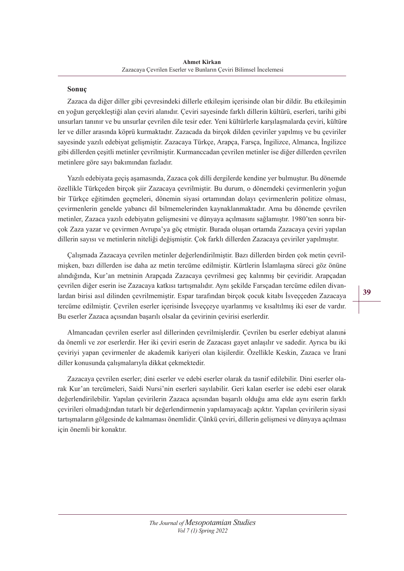## **Sonuç**

Zazaca da diğer diller gibi çevresindeki dillerle etkileşim içerisinde olan bir dildir. Bu etkileşimin en yoğun gerçekleştiği alan çeviri alanıdır. Çeviri sayesinde farklı dillerin kültürü, eserleri, tarihi gibi unsurları tanınır ve bu unsurlar çevrilen dile tesir eder. Yeni kültürlerle karşılaşmalarda çeviri, kültürler ve diller arasında köprü kurmaktadır. Zazacada da birçok dilden çeviriler yapılmış ve bu çeviriler sayesinde yazılı edebiyat gelişmiştir. Zazacaya Türkçe, Arapça, Farsça, İngilizce, Almanca, İngilizce gibi dillerden çeşitli metinler çevrilmiştir. Kurmanccadan çevrilen metinler ise diğer dillerden çevrilen metinlere göre sayı bakımından fazladır.

Yazılı edebiyata geçiş aşamasında, Zazaca çok dilli dergilerde kendine yer bulmuştur. Bu dönemde özellikle Türkçeden birçok şiir Zazacaya çevrilmiştir. Bu durum, o dönemdeki çevirmenlerin yoğun bir Türkçe eğitimden geçmeleri, dönemin siyasi ortamından dolayı çevirmenlerin politize olması, çevirmenlerin genelde yabancı dil bilmemelerinden kaynaklanmaktadır. Ama bu dönemde çevrilen metinler, Zazaca yazılı edebiyatın gelişmesini ve dünyaya açılmasını sağlamıştır. 1980'ten sonra birçok Zaza yazar ve çevirmen Avrupa'ya göç etmiştir. Burada oluşan ortamda Zazacaya çeviri yapılan dillerin sayısı ve metinlerin niteliği değişmiştir. Çok farklı dillerden Zazacaya çeviriler yapılmıştır.

Çalışmada Zazacaya çevrilen metinler değerlendirilmiştir. Bazı dillerden birden çok metin çevrilmişken, bazı dillerden ise daha az metin tercüme edilmiştir. Kürtlerin İslamlaşma süreci göz önüne alındığında, Kur'an metninin Arapçada Zazacaya çevrilmesi geç kalınmış bir çeviridir. Arapçadan çevrilen diğer eserin ise Zazacaya katkısı tartışmalıdır. Aynı şekilde Farsçadan tercüme edilen divanlardan birisi asıl dilinden çevrilmemiştir. Espar tarafından birçok çocuk kitabı İsveççeden Zazacaya tercüme edilmiştir. Çevrilen eserler içerisinde İsveççeye uyarlanmış ve kısaltılmış iki eser de vardır. Bu eserler Zazaca açısından başarılı olsalar da çevirinin çevirisi eserlerdir.

Almancadan çevrilen eserler asıl dillerinden çevrilmişlerdir. Çevrilen bu eserler edebiyat alanın<del>i</del> da önemli ve zor eserlerdir. Her iki çeviri eserin de Zazacası gayet anlaşılır ve sadedir. Ayrıca bu iki çeviriyi yapan çevirmenler de akademik kariyeri olan kişilerdir. Özellikle Keskin, Zazaca ve İrani diller konusunda çalışmalarıyla dikkat çekmektedir.

Zazacaya çevrilen eserler; dini eserler ve edebi eserler olarak da tasnif edilebilir. Dini eserler olarak Kur'an tercümeleri, Saidi Nursi'nin eserleri sayılabilir. Geri kalan eserler ise edebi eser olarak değerlendirilebilir. Yapılan çevirilerin Zazaca açısından başarılı olduğu ama elde aynı eserin farklı çevirileri olmadığından tutarlı bir değerlendirmenin yapılamayacağı açıktır. Yapılan çevirilerin siyasi tartışmaların gölgesinde de kalmaması önemlidir. Çünkü çeviri, dillerin gelişmesi ve dünyaya açılması için önemli bir konaktır.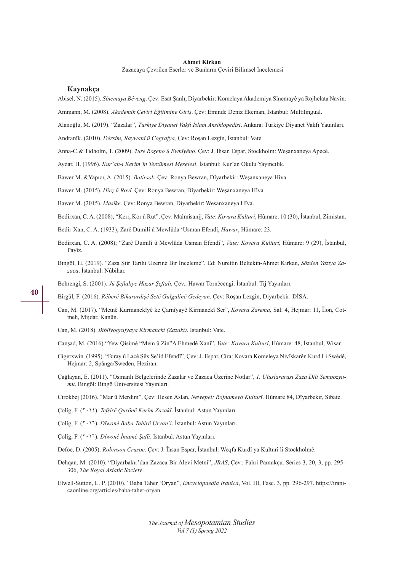#### **Kaynakça**

Abisel, N. (2015). *Sînemaya Bêveng*. Çev: Esat Şanlı, Dîyarbekir: Komelaya Akademiya Sînemayê ya Rojhelata Navîn.

Ammann, M. (2008). *Akademik Çeviri Eğitimine Giriş*. Çev: Eminde Deniz Ekeman, İstanbul: Multilingual.

Alanoğlu, M. (2019). "Zazalar", *Türkiye Diyanet Vakfı İslam Ansiklopedisi*. Ankara: Türkiye Diyanet Vakfı Yauınları.

Andranîk. (2010). *Dêrsim, Raywanî û Cografya,* Çev: Roşan Lezgîn, Îstanbul: Vate.

Anna-C.& Tidholm, T. (2009). *Ture Roşeno û Ewnîyêno*. Çev: J. Îhsan Espar, Stockholm: Weşanxaneya Apecê.

Aydar, H. (1996). *Kur'an-ı Kerim'in Tercümesi Meselesi*. İstanbul: Kur'an Okulu Yayıncılık.

Bawer M. &Yapıcı, A. (2015). *Batirsok*. Çev: Ronya Bewran, Dîyarbekir: Weşanxaneya Hîva.

Bawer M. (2015). *Hirç û Rovî*. Çev: Ronya Bewran, Dîyarbekir: Weşanxaneya Hîva.

Bawer M. (2015). *Masîke*. Çev: Ronya Bewran, Dîyarbekir: Weşanxaneya Hîva.

Bedirxan, C. A. (2008); "Kerr, Kor û Rut", Çev: Malmîsanij, *Vate*: *Kovara Kulturî*, Hûmare: 10 (30), Îstanbul, Zimistan.

- Bedir-Xan, C. A. (1933); Zarê Dumilî û Mewlûda 'Usman Efendî, *Hawar*, Hûmare: 23.
- Bedirxan, C. A. (2008); "Zarê Dumilî û Mewlûda Usman Efendî", *Vate: Kovara Kulturî*, Hûmare: 9 (29), Îstanbul, Payîz.
- Bingöl, H. (2019). "Zaza Şiir Tarihi Üzerine Bir İnceleme". Ed: Nurettin Beltekin-Ahmet Kırkan, *Sözden Yazıya Zazaca*. İstanbul: Nûbihar.

Behrengi, S. (2001). *Jü Şeftaliye Hazar Şeftali.* Çev.: Hawar Tornêcengi. İstanbul: Tij Yayınları.

Birgül, F. (2016). *Rêberê Bikarardişê Setê Gulgulînê Gedeyan*. Çev: Roşan Lezgîn, Diyarbekir: DİSA.

- Can, M. (2017). "Metnê Kurmanckîyê ke Çarnîyayê Kirmanckî Ser", *Kovara Zarema*, Sal: 4, Hejmar: 11, Îlon, Cotmeh, Mijdar, Kanûn.
- Can, M. (2018). *Bîblîyografyaya Kirmanckî (Zazakî)*. İstanbul: Vate.
- Canşad, M. (2016)."Yew Qisimê "Mem û Zîn"A Ehmedê Xanî", *Vate: Kovara Kulturî*, Hûmare: 48, Îstanbul, Wisar.
- Cigerxwîn*.* (1995). "Biray û Lacê Şêx Se'îd Efendî"*,* Çev: J. Espar, Çira: Kovara Komeleya Nivîskarên Kurd Li Swêdê, Hejmar: 2, Spånga/Sweden, Hezîran.
- Çağlayan, E. (2011). "Osmanlı Belgelerinde Zazalar ve Zazaca Üzerine Notlar", *1. Uluslararası Zaza Dili Sempozyumu*. Bingöl: Bingö Üniversitesi Yayınları.

Cirokbej (2016). "Mar û Merdim", Çev: Hesen Aslan, *Newepel: Rojnameyo Kulturî*. Hûmare 84, Dîyarbekir, Sibate.

- Çolîg, F. (2014). *Tefsîrê Qurônê Kerîm Zazakî*. İstanbul: Astun Yayınları.
- Çolîg, F. (2016). *Dîwonê Baba Tahîrê Uryan'î*. İstanbul: Astun Yayınları.
- Çolîg, F. (2016). *Dîwonê Îmamê Şafîî*. İstanbul: Astun Yayınları.
- Defoe, D. (2005). *Robinson Crusoe*. Çev: J. Îhsan Espar, Îstanbul: Weqfa Kurdî ya Kulturî li Stockholmê.
- Dehqan, M. (2010). "Diyarbakır'dan Zazaca Bir Alevi Metni", *JRAS*, Çev.: Fahri Pamukçu. Series 3, 20, 3, pp. 295– 306, *The Royal Asiatic Society.*
- Elwell-Sutton, L. P. (2010). "Baba Taher 'Oryan", *Encyclopaedia Iranica*, Vol. III, Fasc. 3, pp. 296-297. https://iranicaonline.org/articles/baba-taher-oryan.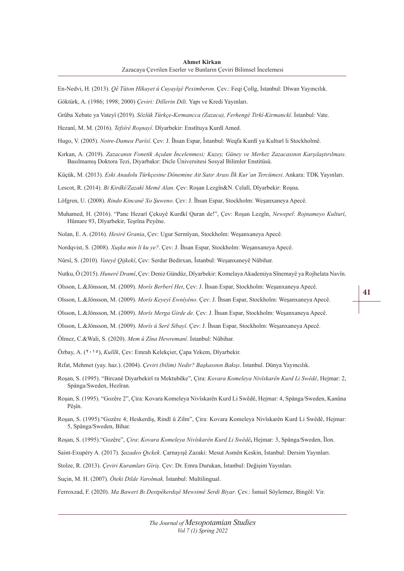En-Nedvi, H. (2013). *Qê Tûton Hîkayet û Cuyayîşê Peximberon*. Çev.: Feqi Çolîg, İstanbul: Dîwan Yayıncılık.

Göktürk, A. (1986; 1998; 2000) *Çeviri: Dillerin Dili*. Yapı ve Kredi Yayınları.

Grûba Xebate ya Vateyî (2019). *Sözlük Türkçe-Kırmancca (Zazaca), Ferhengê Tirkî-Kirmanckî.* İstanbul: Vate.

Hezanî, M. M. (2016). *Tefsîrê Roşnayî*. Dîyarbekir: Enstîtuya Kurdî Amed.

Hugo, V. (2005). *Notre-Damea Parîsî*. Çev: J. Îhsan Espar, Îstanbul: Weqfa Kurdî ya Kulturî li Stockholmê.

Kırkan, A. (2019). *Zazacanın Fonetik Açıdan İncelenmesi; Kuzey, Güney ve Merkez Zazacasının Karşılaştırılması*. Basılmamış Doktora Tezi, Diyarbakır: Dicle Üniversitesi Sosyal Bilimler Enstitüsü.

Küçük, M. (2013). *Eski Anadolu Türkçesine Dönemine Ait Satır Arası İlk Kur'an Tercümesi*. Ankara: TDK Yayınları.

Lescot, R. (2014). *Bi Kirdkî/Zazakî Memê Alan*. Çev: Roşan Lezgîn&N. Celalî, Dîyarbekir: Roşna.

Löfgren, U. (2008). *Rindo Kincanê Xo Şuweno*. Çev: J. Îhsan Espar, Stockholm: Weşanxaneya Apecê.

- Muhamed, H. (2016). "Panc Hezarî Çekuyê Kurdkî Quran de!", Çev: Roşan Lezgîn, *Newepel*: *Rojnameyo Kulturî*, Hûmare 93, Dîyarbekir, Teşrîna Peyêne.
- Nolan, E. A. (2016). *Hesirê Grania*, Çev: Ugur Sermîyan, Stockholm: Weşanxaneya Apecê.

Nordqvist, S. (2008). *Xuşka min li ku ye?*. Çev: J. Îhsan Espar, Stockholm: Weşanxaneya Apecê.

Nûrsî, S. (2010). *Vateyê Qijkekî*, Çev: Serdar Bedirxan, Îstanbul: Weşanxaneyê Nûbihar.

Nutku, Ö (2015). *Hunerê Dramî*, Çev: Deniz Gündüz, Dîyarbekir: Komelaya Akademiya Sînemayê ya Rojhelata Navîn.

Olsson, L.&Jönsson, M. (2009). *Morîs Berberî Het*, Çev: J. Îhsan Espar, Stockholm: Weşanxaneya Apecê.

Olsson, L.&Jönsson, M. (2009). *Morîs Keyeyî Ewnîyêno*. Çev: J. Îhsan Espar, Stockholm: Weşanxaneya Apecê.

Olsson, L.&Jönsson, M. (2009). *Morîs Merga Girde de*. Çev: J. Îhsan Espar, Stockholm: Weşanxaneya Apecê.

Olsson, L.&Jönsson, M. (2009). *Morîs û Serê Sibayî*. Çev: J. Îhsan Espar, Stockholm: Weşanxaneya Apecê.

Ölmez, C.&Wali, S. (2020). *Mem û Zîna Hewremanî*. İstanbul: Nûbihar.

Özbay, A. (<sup>110</sup>), *Kulîlk*, Çev: Emrah Kelekçier, Çapa Yekem, Dîyarbekir.

Rıfat, Mehmet (yay. haz.). (2004). *Çeviri (bilim) Nedir? Başkasının Bakışı*. İstanbul. Dünya Yayıncılık.

Roşan, S. (1995). "Bircanê Diyarbekirî ra Mektubêke", Çira: *Kovara Komeleya Nivîskarên Kurd Li Swêdê*, Hejmar: 2, Spånga/Sweden, Hezîran.

Roşan, S. (1995). "Gozêre 2", Çira: Kovara Komeleya Nivîskarên Kurd Li Swêdê, Hejmar: 4, Spånga/Sweden, Kanûna Pêşîn.

Roşan, S. (1995)."Gozêre 4; Heskerdiş, Rindî û Zilm", Çira: Kovara Komeleya Nivîskarên Kurd Li Swêdê, Hejmar: 5, Spånga/Sweden, Bihar.

Roşan, S. (1995)."Gozêre", *Çira*: *Kovara Komeleya Nivîskarên Kurd Li Swêdê***,** Hejmar: 3, Spånga/Sweden, Îlon.

Saint-Exupéry A. (2017). *Şazadeo Qıckek*. Çarnayışê Zazaki: Mesut Asmên Keskin, İstanbul: Dersim Yayınları.

Stolze, R. (2013). *Çeviri Kuramları Giriş*. Çev: Dr. Emra Durukan, İstanbul: Değişim Yayınları.

Suçin, M. H. (2007). *Öteki Dilde Varolmak*. İstanbul: Multilingual.

Ferroxzad, F. (2020). *Ma Baweri Bı Destpêkerdışê Mewsimê Serdi Biyar*. Çev.: İsmail Söylemez, Bingöl: Vir.